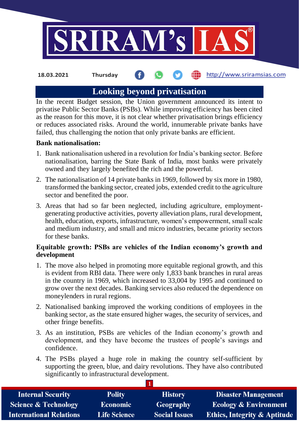

#### **fin** http://www.sriramsias.com **18.03.2021 Thursday**

# **Looking beyond privatisation**

In the recent Budget session, the Union government announced its intent to privatise Public Sector Banks (PSBs). While improving efficiency has been cited as the reason for this move, it is not clear whether privatisation brings efficiency or reduces associated risks. Around the world, innumerable private banks have failed, thus challenging the notion that only private banks are efficient.

### **Bank nationalisation:**

- 1. Bank nationalisation ushered in a revolution for India's banking sector. Before nationalisation, barring the State Bank of India, most banks were privately owned and they largely benefited the rich and the powerful.
- 2. The nationalisation of 14 private banks in 1969, followed by six more in 1980, transformed the banking sector, created jobs, extended credit to the agriculture sector and benefited the poor.
- 3. Areas that had so far been neglected, including agriculture, employmentgenerating productive activities, poverty alleviation plans, rural development, health, education, exports, infrastructure, women's empowerment, small scale and medium industry, and small and micro industries, became priority sectors for these banks.

### **Equitable growth: PSBs are vehicles of the Indian economy's growth and development**

- 1. The move also helped in promoting more equitable regional growth, and this is evident from RBI data. There were only 1,833 bank branches in rural areas in the country in 1969, which increased to 33,004 by 1995 and continued to grow over the next decades. Banking services also reduced the dependence on moneylenders in rural regions.
- 2. Nationalised banking improved the working conditions of employees in the banking sector, as the state ensured higher wages, the security of services, and other fringe benefits.
- 3. As an institution, PSBs are vehicles of the Indian economy's growth and development, and they have become the trustees of people's savings and confidence.
- 4. The PSBs played a huge role in making the country self-sufficient by supporting the green, blue, and dairy revolutions. They have also contributed significantly to infrastructural development.

| <b>Internal Security</b>        | <b>Polity</b>       | <b>History</b>       | <b>Disaster Management</b>              |
|---------------------------------|---------------------|----------------------|-----------------------------------------|
| <b>Science &amp; Technology</b> | <b>Economic</b>     | <b>Geography</b>     | <b>Ecology &amp; Environment</b>        |
| <b>International Relations</b>  | <b>Life Science</b> | <b>Social Issues</b> | <b>Ethics, Integrity &amp; Aptitude</b> |